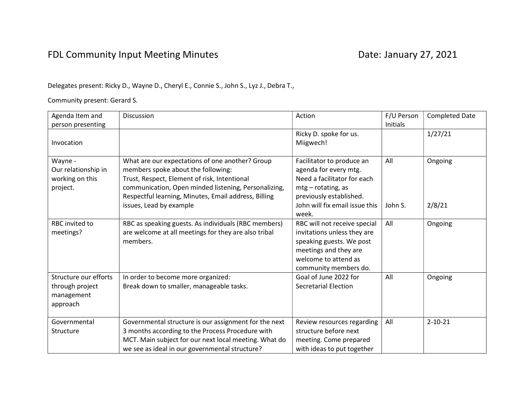## FDL Community Input Meeting Minutes **Date: January 27, 2021**

## Delegates present: Ricky D., Wayne D., Cheryl E., Connie S., John S., Lyz J., Debra T.,

Community present: Gerard S.

| Agenda Item and                                                    | Discussion                                                                                                                                                                                                                                            | Action                                                                                                                                                            | F/U Person | <b>Completed Date</b> |
|--------------------------------------------------------------------|-------------------------------------------------------------------------------------------------------------------------------------------------------------------------------------------------------------------------------------------------------|-------------------------------------------------------------------------------------------------------------------------------------------------------------------|------------|-----------------------|
| person presenting                                                  |                                                                                                                                                                                                                                                       |                                                                                                                                                                   | Initials   |                       |
| Invocation                                                         |                                                                                                                                                                                                                                                       | Ricky D. spoke for us.<br>Miigwech!                                                                                                                               |            | 1/27/21               |
| Wayne -<br>Our relationship in<br>working on this<br>project.      | What are our expectations of one another? Group<br>members spoke about the following:<br>Trust, Respect, Element of risk, Intentional<br>communication, Open minded listening, Personalizing,<br>Respectful learning, Minutes, Email address, Billing | Facilitator to produce an<br>agenda for every mtg.<br>Need a facilitator for each<br>$mtg$ - rotating, as<br>previously established.                              | All        | Ongoing               |
|                                                                    | issues, Lead by example                                                                                                                                                                                                                               | John will fix email issue this<br>week.                                                                                                                           | John S.    | 2/8/21                |
| RBC invited to<br>meetings?                                        | RBC as speaking guests. As individuals (RBC members)<br>are welcome at all meetings for they are also tribal<br>members.                                                                                                                              | RBC will not receive special<br>invitations unless they are<br>speaking guests. We post<br>meetings and they are<br>welcome to attend as<br>community members do. | All        | Ongoing               |
| Structure our efforts<br>through project<br>management<br>approach | In order to become more organized:<br>Break down to smaller, manageable tasks.                                                                                                                                                                        | Goal of June 2022 for<br><b>Secretarial Election</b>                                                                                                              | All        | Ongoing               |
| Governmental<br>Structure                                          | Governmental structure is our assignment for the next<br>3 months according to the Process Procedure with<br>MCT. Main subject for our next local meeting. What do<br>we see as ideal in our governmental structure?                                  | Review resources regarding<br>structure before next<br>meeting. Come prepared<br>with ideas to put together                                                       | All        | $2 - 10 - 21$         |